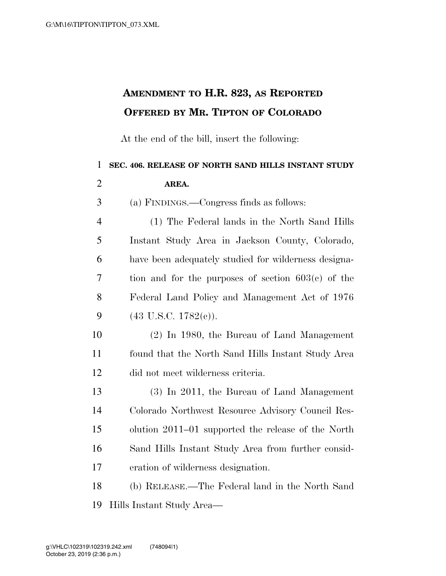## **AMENDMENT TO H.R. 823, AS REPORTED OFFERED BY MR. TIPTON OF COLORADO**

At the end of the bill, insert the following:

| $\mathbf{1}$   | SEC. 406. RELEASE OF NORTH SAND HILLS INSTANT STUDY  |
|----------------|------------------------------------------------------|
| $\overline{2}$ | AREA.                                                |
| 3              | (a) FINDINGS.—Congress finds as follows:             |
| $\overline{4}$ | (1) The Federal lands in the North Sand Hills        |
| 5              | Instant Study Area in Jackson County, Colorado,      |
| 6              | have been adequately studied for wilderness designa- |
| 7              | tion and for the purposes of section $603(e)$ of the |
| 8              | Federal Land Policy and Management Act of 1976       |
| 9              | $(43 \text{ U.S.C. } 1782(e)).$                      |
| 10             | $(2)$ In 1980, the Bureau of Land Management         |
| 11             | found that the North Sand Hills Instant Study Area   |
| 12             | did not meet wilderness criteria.                    |
| 13             | (3) In 2011, the Bureau of Land Management           |
| 14             | Colorado Northwest Resource Advisory Council Res-    |
| 15             | olution 2011–01 supported the release of the North   |
| 16             | Sand Hills Instant Study Area from further consid-   |
| 17             | eration of wilderness designation.                   |
| 18             | (b) RELEASE.—The Federal land in the North Sand      |
| 19             | Hills Instant Study Area—                            |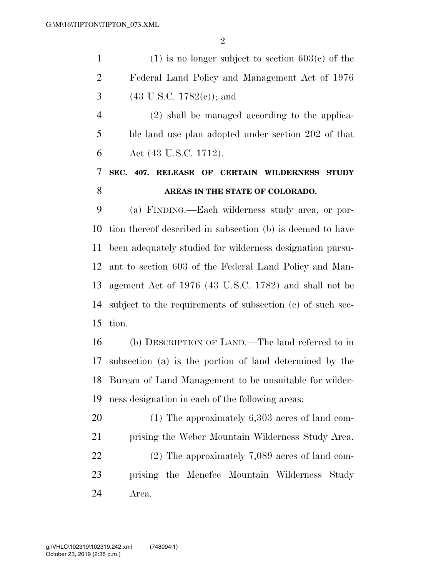| $\mathbf{1}$   | $(1)$ is no longer subject to section 603(c) of the        |
|----------------|------------------------------------------------------------|
| $\overline{2}$ | Federal Land Policy and Management Act of 1976             |
| 3              | $(43 \text{ U.S.C. } 1782(c))$ ; and                       |
| $\overline{4}$ | $(2)$ shall be managed according to the applica-           |
| 5              | ble land use plan adopted under section 202 of that        |
| 6              | Act (43 U.S.C. 1712).                                      |
| 7              | SEC. 407. RELEASE OF CERTAIN WILDERNESS<br><b>STUDY</b>    |
| 8              | AREAS IN THE STATE OF COLORADO.                            |
| 9              | (a) FINDING.—Each wilderness study area, or por-           |
| 10             | tion thereof described in subsection (b) is deemed to have |
| 11             | been adequately studied for wilderness designation pursu-  |
| 12             | ant to section 603 of the Federal Land Policy and Man-     |
| 13             | agement Act of 1976 (43 U.S.C. 1782) and shall not be      |
| 14             | subject to the requirements of subsection (c) of such sec- |
| 15             | tion.                                                      |
| 16             | (b) DESCRIPTION OF LAND.—The land referred to in           |
| 17             | subsection (a) is the portion of land determined by the    |
| 18             | Bureau of Land Management to be unsuitable for wilder-     |
| 19             | ness designation in each of the following areas:           |
| 20             | $(1)$ The approximately 6,303 acres of land com-           |
| 21             | prising the Weber Mountain Wilderness Study Area.          |
| 22             | $(2)$ The approximately 7,089 acres of land com-           |
| 23             | prising the Menefee Mountain Wilderness Study              |
| 24             | Area.                                                      |